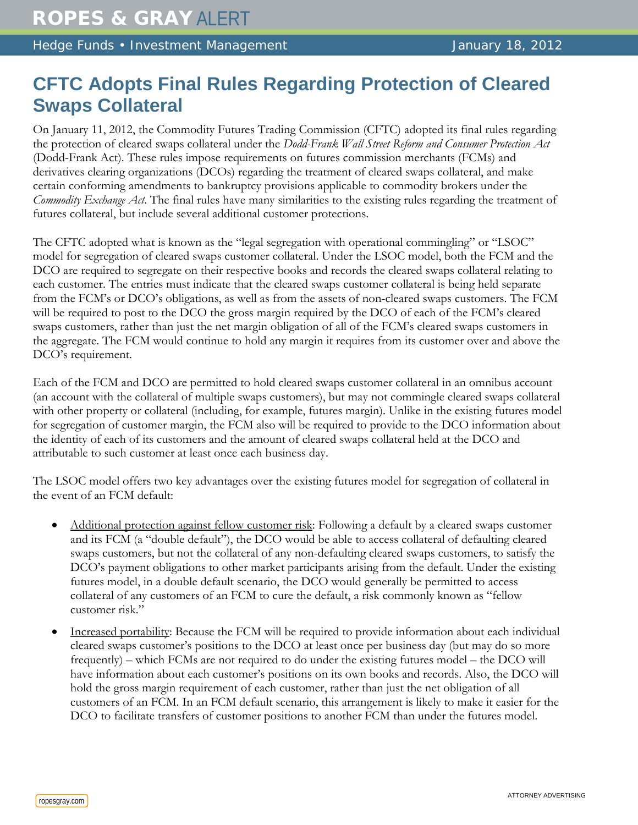Hedge Funds • Investment Management January 18, 2012

## **CFTC Adopts Final Rules Regarding Protection of Cleared Swaps Collateral**

On January 11, 2012, the Commodity Futures Trading Commission (CFTC) adopted its final rules regarding the protection of cleared swaps collateral under the *Dodd-Frank Wall Street Reform and Consumer Protection Act*  (Dodd-Frank Act). These rules impose requirements on futures commission merchants (FCMs) and derivatives clearing organizations (DCOs) regarding the treatment of cleared swaps collateral, and make certain conforming amendments to bankruptcy provisions applicable to commodity brokers under the *Commodity Exchange Act*. The final rules have many similarities to the existing rules regarding the treatment of futures collateral, but include several additional customer protections.

The CFTC adopted what is known as the "legal segregation with operational commingling" or "LSOC" model for segregation of cleared swaps customer collateral. Under the LSOC model, both the FCM and the DCO are required to segregate on their respective books and records the cleared swaps collateral relating to each customer. The entries must indicate that the cleared swaps customer collateral is being held separate from the FCM's or DCO's obligations, as well as from the assets of non-cleared swaps customers. The FCM will be required to post to the DCO the gross margin required by the DCO of each of the FCM's cleared swaps customers, rather than just the net margin obligation of all of the FCM's cleared swaps customers in the aggregate. The FCM would continue to hold any margin it requires from its customer over and above the DCO's requirement.

Each of the FCM and DCO are permitted to hold cleared swaps customer collateral in an omnibus account (an account with the collateral of multiple swaps customers), but may not commingle cleared swaps collateral with other property or collateral (including, for example, futures margin). Unlike in the existing futures model for segregation of customer margin, the FCM also will be required to provide to the DCO information about the identity of each of its customers and the amount of cleared swaps collateral held at the DCO and attributable to such customer at least once each business day.

The LSOC model offers two key advantages over the existing futures model for segregation of collateral in the event of an FCM default:

- Additional protection against fellow customer risk: Following a default by a cleared swaps customer and its FCM (a "double default"), the DCO would be able to access collateral of defaulting cleared swaps customers, but not the collateral of any non-defaulting cleared swaps customers, to satisfy the DCO's payment obligations to other market participants arising from the default. Under the existing futures model, in a double default scenario, the DCO would generally be permitted to access collateral of any customers of an FCM to cure the default, a risk commonly known as "fellow customer risk."
- Increased portability: Because the FCM will be required to provide information about each individual cleared swaps customer's positions to the DCO at least once per business day (but may do so more frequently) – which FCMs are not required to do under the existing futures model – the DCO will have information about each customer's positions on its own books and records. Also, the DCO will hold the gross margin requirement of each customer, rather than just the net obligation of all customers of an FCM. In an FCM default scenario, this arrangement is likely to make it easier for the DCO to facilitate transfers of customer positions to another FCM than under the futures model.